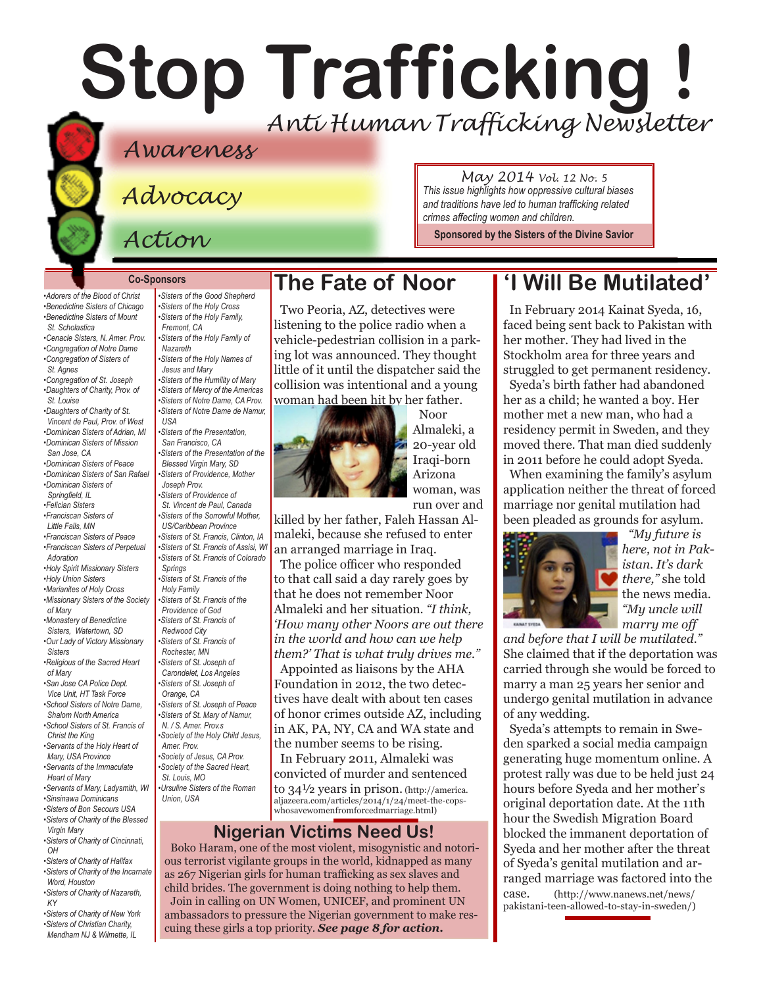# **Stop Trafficking !** *Anti Human Trafficking Newsletter*

# *Awareness*

*Advocacy*

*Action*

#### *and traditions have led to human trafficking related crimes affecting women and children.*

**Sponsored by the [Sisters of the Divine Savior](http://www.sistersofthedivinesavior.org)**

*May 2014 Vol. 12 No. 5 This issue highlights how oppressive cultural biases* 

#### **Co-Sponsors**

*•Adorers of the Blood of Christ •Benedictine Sisters of Chicago •Benedictine Sisters of Mount St. Scholastica •Cenacle Sisters, N. Amer. Prov. [•Congregation of Notre Dame](http://www.cnd-m.com/index.html) •Congregation of Sisters of St. Agnes •Congregation of St. Joseph [•Daughters of Charity, Prov. of](http://www.daughtersofcharity.org)  [St. Louise](http://www.daughtersofcharity.org)  [•Daughters of Charity of St.](http://www.daughtersofcharity.com)  [Vincent de Paul, Prov. of West](http://www.daughtersofcharity.com) [•Dominican Sisters of Adrian, MI](http://www.adriandominicans.org/ ) [•Dominican Sisters of Mission](http://www.msjdominicans.org/)  [San Jose, CA](http://www.msjdominicans.org/)  [•Dominican Sisters of Peace](http://www.oppeace.org/ ) [•Dominican Sisters of San Rafael](http://www.sanrafaelop.org/) [•Dominican Sisters of](http://www.springfieldop.org)   [Springfield, IL](http://www.springfieldop.org) [•Felician Sisters](http://www.feliciansisters.org) [•Franciscan Sisters of](http://www.fslf.org)  Little Falls, MN [•Franciscan Sisters of Peace](http://www.fspnet.org ) [•Franciscan Sisters of Pe](http://www.fspa.org)rpetual Adoration [•Holy Spirit Missionary Sisters](http://www.ssps-usa.org) [•Holy Union Sisters](http://www.holyunionsisters.org/)  [•Marianites of Holy Cross](http://www.marianites.org/) [•Missionary Sisters of the Society](http://www.maristmissionarysmsm.org/)  [of Mary](http://www.maristmissionarysmsm.org/) [•Monastery of Benedictine](http://www.watertownbenedictines.org)  [Sisters, Watertown, SD](http://www.watertownbenedictines.org) [•Our Lady of Victory Missionary](http://www.olvm.org)  [Sisters](http://www.olvm.org) [•Religious of the Sacred Heart](http://www.rshm.org)  [of Mary](http://www.rshm.org)  [•San Jose CA Police Dept.](http://www.sjpd.org/stopht)  [Vice Unit, HT Task Force](http://www.sjpd.org/stopht) [•School Sisters of Notre Dame,](http://www.ssnd.org/central-pacific)  Shalom North America [•School Sisters of St. Francis of](http://www.lemontfranciscans.org/)  [Christ the King](http://www.lemontfranciscans.org/) [•Servants of the Holy Heart of](http://www.sscm-usa.org/)  [Mary, USA Province](http://www.sscm-usa.org/)  [•Servants of the Immaculate](http://www.scimsisters.org)  [Heart of Mary](http://www.scimsisters.org) [•Servants of Mary, Ladysmith, WI](http://servitesisters.org)  [•Sinsinawa Dominicans](http://www.sinsinawa.org/<200E>) [•Sisters of Bon Secours USA](http://www.bonsecours.org/us)  [•Sisters of Charity of the Blessed](http://www.bvmcong.org)  [Virgin Mary](http://www.bvmcong.org)*

*[•Sisters of Charity of Cincinnati,](http://www.srcharitycinti.org/)  [OH](http://www.srcharitycinti.org/)*

*[•Sisters of Charity of Halifax](http://www.schalifax.ca)  [•Sisters of Charity of the Incarnate](http://www.sistersofcharity.org)  [Word, Houston](http://www.sistersofcharity.org)* 

*[•Sisters of Charity of Nazareth,](http://www.scny.org/)  [KY](http://www.scny.org/)*

*[•Sisters of Charity of New York](http://www.scny.org/)  •Sisters of [Christian Charity,](http://www.scceast.org)  [Mendham](http://www.scceast.org) NJ [& Wilmette, IL](http://www.sccwilmette.org)* 

*[•Sisters of the Good Shepherd](http://www.goodshepherdsisters.org/) [•Sisters of the Holy Cross](http://www.cscsisters.org/) [•Sisters of the Holy Family,](http://www.holyfamilysisters.org/)  [Fremont, CA](http://www.holyfamilysisters.org/)  [•Sisters of the Holy Family of](http://www.nazarethcsfn.org/)  [Nazareth](http://www.nazarethcsfn.org/) [•Sisters of the Holy Names of](http://www.snjm.org/)  [Jesus and Mary](http://www.snjm.org/)  [•Sisters of the Humility of Mary](http://www.humilityofmary.org)  [•Sisters of Mercy of the Americas](http://www.sistersofmercy.org/) [•Sisters of Notre Dame, CA Prov](http://www.sndca.org/). [•Sisters of Notre Dame](http://www.sndden.org/) de Namur, USA [•Sisters of the Presentation,](http://www.presentationsisterssf.org/)  [San Francisco, CA](http://www.presentationsisterssf.org/) [•Sisters of the Presentation of the](http://www.presentationsisters.org/)  [Blessed Virgin Mary, SD](http://www.presentationsisters.org/) [•Sisters of Providence, Mother](http://www.sistersofprovidence.net)  [Joseph Prov.](http://www.sistersofprovidence.net)  [•Sisters of Providence of](http://www.providence.ca)  [St. Vincent de Paul, Canada](http://www.providence.ca)  [•Sisters of the Sorrowful Mother,](http://www.ssmfranciscans.org/)  [US/Caribbean Province](http://www.ssmfranciscans.org/) [•Sisters of St. Francis, Clinton, IA](http://www.clintonfranciscans.com/<200E>) [•Sisters of St. Francis of Assisi, WI](http://www.lakeosfs.org/) [•Sisters of St. Francis of Colorado](http://www.stfrancis.org)  [Springs](http://www.stfrancis.org)  [•Sisters of St. Francis of the](http://www.osfdbq.org/<200E>)  Holy Family [•Sisters of St. Francis of the](http://www.osfprov.org/)  [Providence of God](http://www.osfprov.org/) [•Sisters of St. Francis of](http://www.stfrancisprovince.org)  [Redwood City](http://www.stfrancisprovince.org)  [•Sisters of St. Francis of](http://www.rochesterfranciscan.org/)  [Rochester, MN](http://www.rochesterfranciscan.org/) [•Sisters of St. Joseph of](http://www.csjla.org)  [Carondelet, Los Angeles](http://www.csjla.org)  [•Sisters of St. Joseph of](http://www.sistersofstjosephorange.org/)  [Orange, CA](http://www.sistersofstjosephorange.org/)  [•Sisters of St. Joseph of Peace](http://www.csjp.org/<200E>) [•Sisters of St. Mary of Namur,](http://www.ssmn-e.com)  [N. / S. Amer. Prov.s](http://www.ssmn-e.com) [•Society of the Holy Child Jesus,](http://www.shcj.org )  [Amer. Prov.](http://www.shcj.org ) [•Society of Jesus, CA Prov.](http://www.jesuitscalifornia.org/<200E>) [•Society of the Sacred Heart,](http://www.rscj.org)  [St. Louis, MO](http://www.rscj.org) [•Ursuline Sisters of the Roman](http://usaromanunionursulines.org/)  [Union, USA](http://usaromanunionursulines.org/)*

# **The Fate of Noor**

Two Peoria, AZ, detectives were listening to the police radio when a vehicle-pedestrian collision in a parking lot was announced. They thought little of it until the dispatcher said the collision was intentional and a young woman had been hit by her father.



Noor Almaleki, a 20-year old Iraqi-born Arizona woman, was run over and

killed by her father, Faleh Hassan Almaleki, because she refused to enter an arranged marriage in Iraq.

The police officer who responded to that call said a day rarely goes by that he does not remember Noor Almaleki and her situation. *"I think, 'How many other Noors are out there in the world and how can we help them?' That is what truly drives me."* Appointed as liaisons by the AHA Foundation in 2012, the two detectives have dealt with about ten cases of honor crimes outside AZ, including in AK, PA, NY, CA and WA state and the number seems to be rising. In February 2011, Almaleki was convicted of murder and sentenced to 34½ years in prison. (http://america. aljazeera.com/articles/2014/1/24/meet-the-cops-

### **Nigerian Victims Need Us!**

whosavewomenfromforcedmarriage.html)

Boko Haram, one of the most violent, misogynistic and notorious terrorist vigilante groups in the world, kidnapped as many as 267 Nigerian girls for human trafficking as sex slaves and child brides. The government is doing nothing to help them. Join in calling on UN Women, UNICEF, and prominent UN ambassadors to pressure the Nigerian government to make rescuing these girls a top priority. *See page 8 for action.*

# **'I Will Be Mutilated'**

In February 2014 Kainat Syeda, 16, faced being sent back to Pakistan with her mother. They had lived in the Stockholm area for three years and struggled to get permanent residency.

Syeda's birth father had abandoned her as a child; he wanted a boy. Her mother met a new man, who had a residency permit in Sweden, and they moved there. That man died suddenly in 2011 before he could adopt Syeda.

When examining the family's asylum application neither the threat of forced marriage nor genital mutilation had been pleaded as grounds for asylum.



*"My future is here, not in Pakistan. It's dark there,"* she told the news media. *"My uncle will marry me off* 

*and before that I will be mutilated."*  She claimed that if the deportation was carried through she would be forced to marry a man 25 years her senior and undergo genital mutilation in advance of any wedding.

Syeda's attempts to remain in Sweden sparked a social media campaign generating huge momentum online. A protest rally was due to be held just 24 hours before Syeda and her mother's original deportation date. At the 11th hour the Swedish Migration Board blocked the immanent deportation of Syeda and her mother after the threat of Syeda's genital mutilation and arranged marriage was factored into the case. (http://www.nanews.net/news/ pakistani-teen-allowed-to-stay-in-sweden/)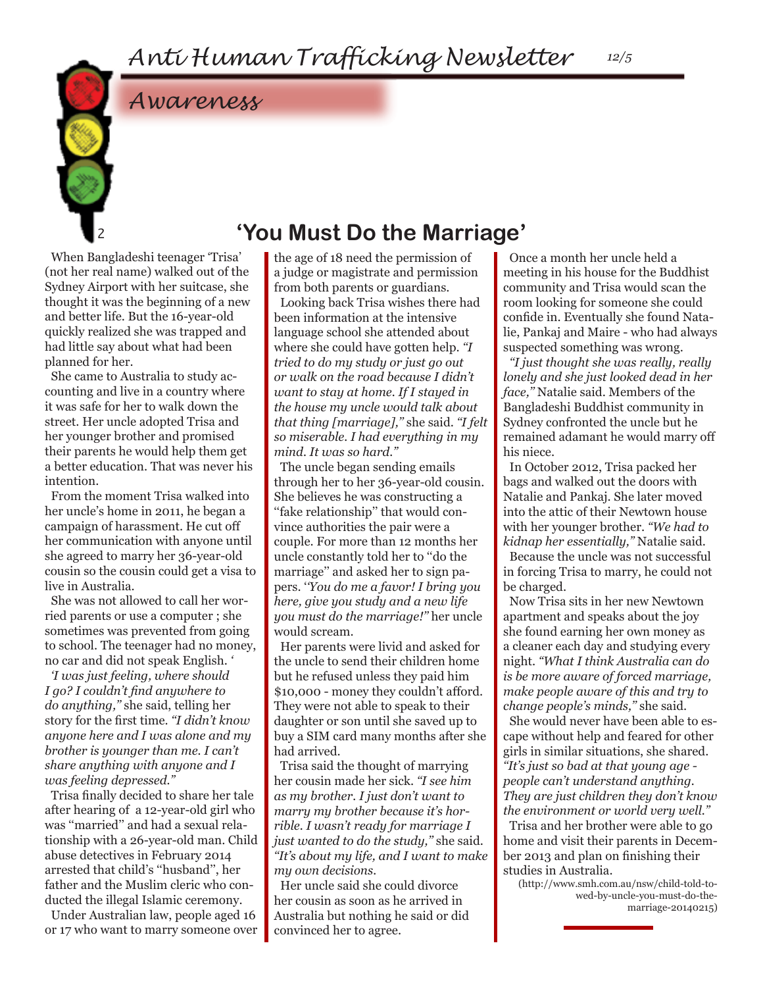*12/5*

*Awareness*

# **'You Must Do the Marriage'**

When Bangladeshi teenager 'Trisa' (not her real name) walked out of the Sydney Airport with her suitcase, she thought it was the beginning of a new and better life. But the 16-year-old quickly realized she was trapped and had little say about what had been planned for her.

2

She came to Australia to study accounting and live in a country where it was safe for her to walk down the street. Her uncle adopted Trisa and her younger brother and promised their parents he would help them get a better education. That was never his intention.

From the moment Trisa walked into her uncle's home in 2011, he began a campaign of harassment. He cut off her communication with anyone until she agreed to marry her 36-year-old cousin so the cousin could get a visa to live in Australia.

She was not allowed to call her worried parents or use a computer ; she sometimes was prevented from going to school. The teenager had no money, no car and did not speak English. *'*

*'I was just feeling, where should I go? I couldn't find anywhere to do anything,''* she said, telling her story for the first time. *''I didn't know anyone here and I was alone and my brother is younger than me. I can't share anything with anyone and I was feeling depressed.''*

Trisa finally decided to share her tale after hearing of a 12-year-old girl who was ''married'' and had a sexual relationship with a 26-year-old man. Child abuse detectives in February 2014 arrested that child's ''husband'', her father and the Muslim cleric who conducted the illegal Islamic ceremony.

Under Australian law, people aged 16 or 17 who want to marry someone over the age of 18 need the permission of a judge or magistrate and permission from both parents or guardians.

Looking back Trisa wishes there had been information at the intensive language school she attended about where she could have gotten help. *''I tried to do my study or just go out or walk on the road because I didn't want to stay at home. If I stayed in the house my uncle would talk about that thing [marriage],''* she said. *''I felt so miserable. I had everything in my mind. It was so hard.''*

The uncle began sending emails through her to her 36-year-old cousin. She believes he was constructing a ''fake relationship'' that would convince authorities the pair were a couple. For more than 12 months her uncle constantly told her to ''do the marriage'' and asked her to sign papers. '*'You do me a favor! I bring you here, give you study and a new life you must do the marriage!''* her uncle would scream.

Her parents were livid and asked for the uncle to send their children home but he refused unless they paid him \$10,000 - money they couldn't afford. They were not able to speak to their daughter or son until she saved up to buy a SIM card many months after she had arrived.

Trisa said the thought of marrying her cousin made her sick. *''I see him as my brother. I just don't want to marry my brother because it's horrible. I wasn't ready for marriage I just wanted to do the study,''* she said. *''It's about my life, and I want to make my own decisions.*

Her uncle said she could divorce her cousin as soon as he arrived in Australia but nothing he said or did convinced her to agree.

Once a month her uncle held a meeting in his house for the Buddhist community and Trisa would scan the room looking for someone she could confide in. Eventually she found Natalie, Pankaj and Maire - who had always suspected something was wrong.

*''I just thought she was really, really lonely and she just looked dead in her face,''* Natalie said. Members of the Bangladeshi Buddhist community in Sydney confronted the uncle but he remained adamant he would marry off his niece.

In October 2012, Trisa packed her bags and walked out the doors with Natalie and Pankaj. She later moved into the attic of their Newtown house with her younger brother. *''We had to kidnap her essentially,''* Natalie said. Because the uncle was not successful in forcing Trisa to marry, he could not be charged.

Now Trisa sits in her new Newtown apartment and speaks about the joy she found earning her own money as a cleaner each day and studying every night. *''What I think Australia can do is be more aware of forced marriage, make people aware of this and try to change people's minds,''* she said.

She would never have been able to escape without help and feared for other girls in similar situations, she shared. *''It's just so bad at that young age people can't understand anything. They are just children they don't know the environment or world very well.''*  Trisa and her brother were able to go

home and visit their parents in December 2013 and plan on finishing their studies in Australia.

(http://www.smh.com.au/nsw/child-told-towed-by-uncle-you-must-do-themarriage-20140215)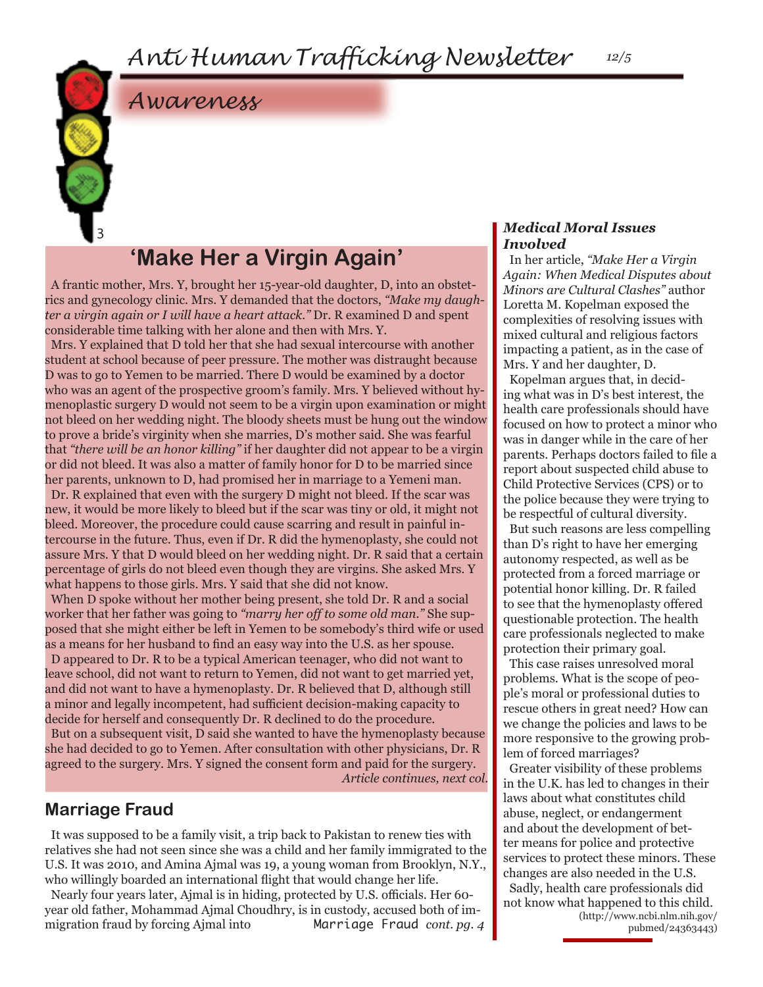

# *Awareness*

# **'Make Her a Virgin Again'**

A frantic mother, Mrs. Y, brought her 15-year-old daughter, D, into an obstetrics and gynecology clinic. Mrs. Y demanded that the doctors, *"Make my daughter a virgin again or I will have a heart attack."* Dr. R examined D and spent considerable time talking with her alone and then with Mrs. Y.

Mrs. Y explained that D told her that she had sexual intercourse with another student at school because of peer pressure. The mother was distraught because D was to go to Yemen to be married. There D would be examined by a doctor who was an agent of the prospective groom's family. Mrs. Y believed without hymenoplastic surgery D would not seem to be a virgin upon examination or might not bleed on her wedding night. The bloody sheets must be hung out the window to prove a bride's virginity when she marries, D's mother said. She was fearful that *"there will be an honor killing"* if her daughter did not appear to be a virgin or did not bleed. It was also a matter of family honor for D to be married since her parents, unknown to D, had promised her in marriage to a Yemeni man. Dr. R explained that even with the surgery D might not bleed. If the scar was new, it would be more likely to bleed but if the scar was tiny or old, it might not bleed. Moreover, the procedure could cause scarring and result in painful intercourse in the future. Thus, even if Dr. R did the hymenoplasty, she could not assure Mrs. Y that D would bleed on her wedding night. Dr. R said that a certain percentage of girls do not bleed even though they are virgins. She asked Mrs. Y what happens to those girls. Mrs. Y said that she did not know.

When D spoke without her mother being present, she told Dr. R and a social worker that her father was going to *"marry her off to some old man."* She supposed that she might either be left in Yemen to be somebody's third wife or used as a means for her husband to find an easy way into the U.S. as her spouse. D appeared to Dr. R to be a typical American teenager, who did not want to leave school, did not want to return to Yemen, did not want to get married yet, and did not want to have a hymenoplasty. Dr. R believed that D, although still a minor and legally incompetent, had sufficient decision-making capacity to decide for herself and consequently Dr. R declined to do the procedure. But on a subsequent visit, D said she wanted to have the hymenoplasty because she had decided to go to Yemen. After consultation with other physicians, Dr. R agreed to the surgery. Mrs. Y signed the consent form and paid for the surgery.

*Article continues, next col.*

### **Marriage Fraud**

It was supposed to be a family visit, a trip back to Pakistan to renew ties with relatives she had not seen since she was a child and her family immigrated to the U.S. It was 2010, and Amina Ajmal was 19, a young woman from Brooklyn, N.Y., who willingly boarded an international flight that would change her life.

Nearly four years later, Ajmal is in hiding, protected by U.S. officials. Her 60 year old father, Mohammad Ajmal Choudhry, is in custody, accused both of immigration fraud by forcing Ajmal into Marriage Fraud *cont. pg. 4* 

### *Medical Moral Issues Involved*

In her article, *"Make Her a Virgin Again: When Medical Disputes about Minors are Cultural Clashes"* author Loretta M. Kopelman exposed the complexities of resolving issues with mixed cultural and religious factors impacting a patient, as in the case of Mrs. Y and her daughter, D.

*12/5*

Kopelman argues that, in deciding what was in D's best interest, the health care professionals should have focused on how to protect a minor who was in danger while in the care of her parents. Perhaps doctors failed to file a report about suspected child abuse to Child Protective Services (CPS) or to the police because they were trying to be respectful of cultural diversity.

But such reasons are less compelling than D's right to have her emerging autonomy respected, as well as be protected from a forced marriage or potential honor killing. Dr. R failed to see that the hymenoplasty offered questionable protection. The health care professionals neglected to make protection their primary goal.

This case raises unresolved moral problems. What is the scope of people's moral or professional duties to rescue others in great need? How can we change the policies and laws to be more responsive to the growing problem of forced marriages?

Greater visibility of these problems in the U.K. has led to changes in their laws about what constitutes child abuse, neglect, or endangerment and about the development of better means for police and protective services to protect these minors. These changes are also needed in the U.S. Sadly, health care professionals did not know what happened to this child. (http://www.ncbi.nlm.nih.gov/

pubmed/24363443)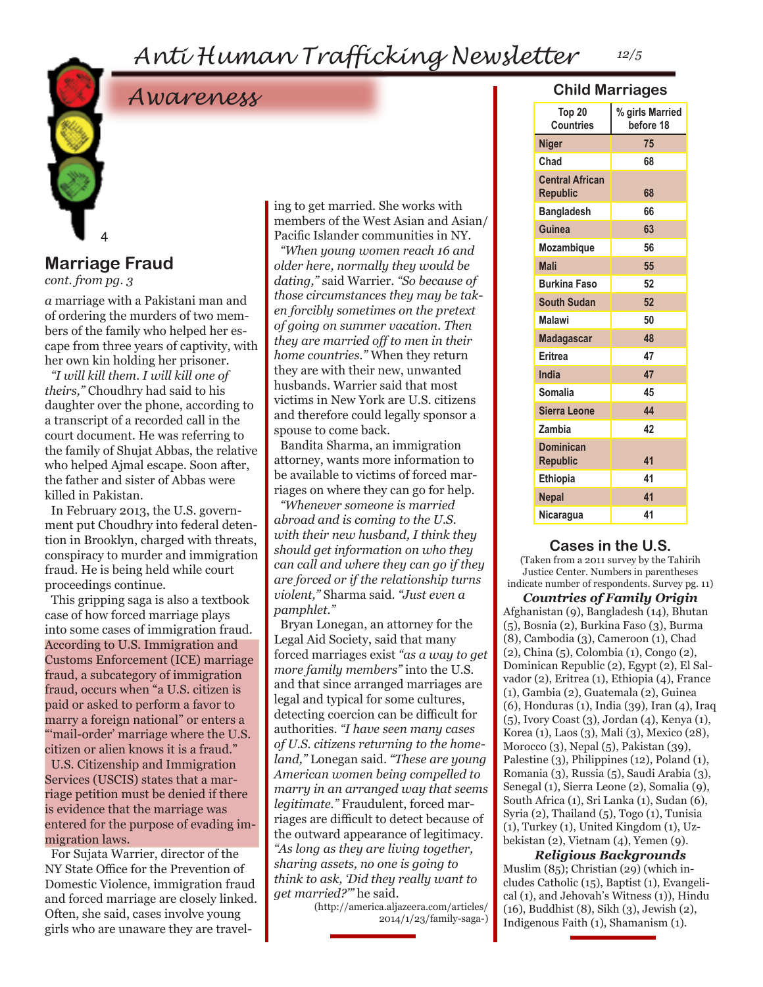# *Anti Human Trafficking Newsletter 12/5*



# *Awareness*

### **Marriage Fraud**

*cont. from pg. 3*

*a* marriage with a Pakistani man and of ordering the murders of two members of the family who helped her escape from three years of captivity, with her own kin holding her prisoner.

*"I will kill them. I will kill one of theirs,"* Choudhry had said to his daughter over the phone, according to a transcript of a recorded call in the court document. He was referring to the family of Shujat Abbas, the relative who helped Ajmal escape. Soon after, the father and sister of Abbas were killed in Pakistan.

In February 2013, the U.S. government put Choudhry into federal detention in Brooklyn, charged with threats, conspiracy to murder and immigration fraud. He is being held while court proceedings continue.

This gripping saga is also a textbook case of how forced marriage plays into some cases of immigration fraud. According to U.S. Immigration and Customs Enforcement (ICE) marriage fraud, a subcategory of immigration fraud, occurs when "a U.S. citizen is paid or asked to perform a favor to marry a foreign national" or enters a "mail-order' marriage where the U.S. citizen or alien knows it is a fraud." U.S. Citizenship and Immigration Services (USCIS) states that a marriage petition must be denied if there is evidence that the marriage was entered for the purpose of evading immigration laws.

For Sujata Warrier, director of the NY State Office for the Prevention of Domestic Violence, immigration fraud and forced marriage are closely linked. Often, she said, cases involve young girls who are unaware they are traveling to get married. She works with members of the West Asian and Asian/ Pacific Islander communities in NY.

*"When young women reach 16 and older here, normally they would be dating,"* said Warrier. *"So because of those circumstances they may be taken forcibly sometimes on the pretext of going on summer vacation. Then they are married off to men in their home countries."* When they return they are with their new, unwanted husbands. Warrier said that most victims in New York are U.S. citizens and therefore could legally sponsor a spouse to come back.

Bandita Sharma, an immigration attorney, wants more information to be available to victims of forced marriages on where they can go for help.

*"Whenever someone is married abroad and is coming to the U.S. with their new husband, I think they should get information on who they can call and where they can go if they are forced or if the relationship turns violent,"* Sharma said. *"Just even a pamphlet."*

Bryan Lonegan, an attorney for the Legal Aid Society, said that many forced marriages exist *"as a way to get more family members"* into the U.S. and that since arranged marriages are legal and typical for some cultures, detecting coercion can be difficult for authorities. *"I have seen many cases of U.S. citizens returning to the homeland,"* Lonegan said. *"These are young American women being compelled to marry in an arranged way that seems legitimate."* Fraudulent, forced marriages are difficult to detect because of the outward appearance of legitimacy. *"As long as they are living together, sharing assets, no one is going to think to ask, 'Did they really want to get married?'"* he said.

(http://america.aljazeera.com/articles/ 2014/1/23/family-saga-)

### **Child Marriages**

| Top 20<br><b>Countries</b>                | % girls Married<br>before 18 |
|-------------------------------------------|------------------------------|
| <b>Niger</b>                              | 75                           |
| Chad                                      | 68                           |
| <b>Central African</b><br><b>Republic</b> | 68                           |
| <b>Bangladesh</b>                         | 66                           |
| Guinea                                    | 63                           |
| Mozambique                                | 56                           |
| <b>Mali</b>                               | 55                           |
| <b>Burkina Faso</b>                       | 52                           |
| <b>South Sudan</b>                        | 52                           |
| <b>Malawi</b>                             | 50                           |
| <b>Madagascar</b>                         | 48                           |
| Eritrea                                   | 47                           |
| India                                     | 47                           |
| Somalia                                   | 45                           |
| <b>Sierra Leone</b>                       | 44                           |
| Zambia                                    | 42                           |
| Dominican<br><b>Republic</b>              | 41                           |
| <b>Ethiopia</b>                           | 41                           |
| <b>Nepal</b>                              | 41                           |
| Nicaragua                                 | 41                           |

### **Cases in the U.S.**

(Taken from a 2011 survey by the Tahirih Justice Center. Numbers in parentheses indicate number of respondents. Survey pg. 11)

*Countries of Family Origin* Afghanistan (9), Bangladesh (14), Bhutan (5), Bosnia (2), Burkina Faso (3), Burma (8), Cambodia (3), Cameroon (1), Chad (2), China (5), Colombia (1), Congo (2), Dominican Republic (2), Egypt (2), El Salvador (2), Eritrea (1), Ethiopia (4), France (1), Gambia (2), Guatemala (2), Guinea (6), Honduras (1), India (39), Iran (4), Iraq (5), Ivory Coast (3), Jordan (4), Kenya (1), Korea (1), Laos (3), Mali (3), Mexico (28), Morocco (3), Nepal (5), Pakistan (39), Palestine (3), Philippines (12), Poland (1), Romania (3), Russia (5), Saudi Arabia (3), Senegal (1), Sierra Leone (2), Somalia (9), South Africa (1), Sri Lanka (1), Sudan (6), Syria (2), Thailand (5), Togo (1), Tunisia (1), Turkey (1), United Kingdom (1), Uzbekistan (2), Vietnam (4), Yemen (9).

*Religious Backgrounds* Muslim (85); Christian (29) (which includes Catholic (15), Baptist (1), Evangelical (1), and Jehovah's Witness (1)), Hindu (16), Buddhist (8), Sikh (3), Jewish (2), Indigenous Faith (1), Shamanism (1).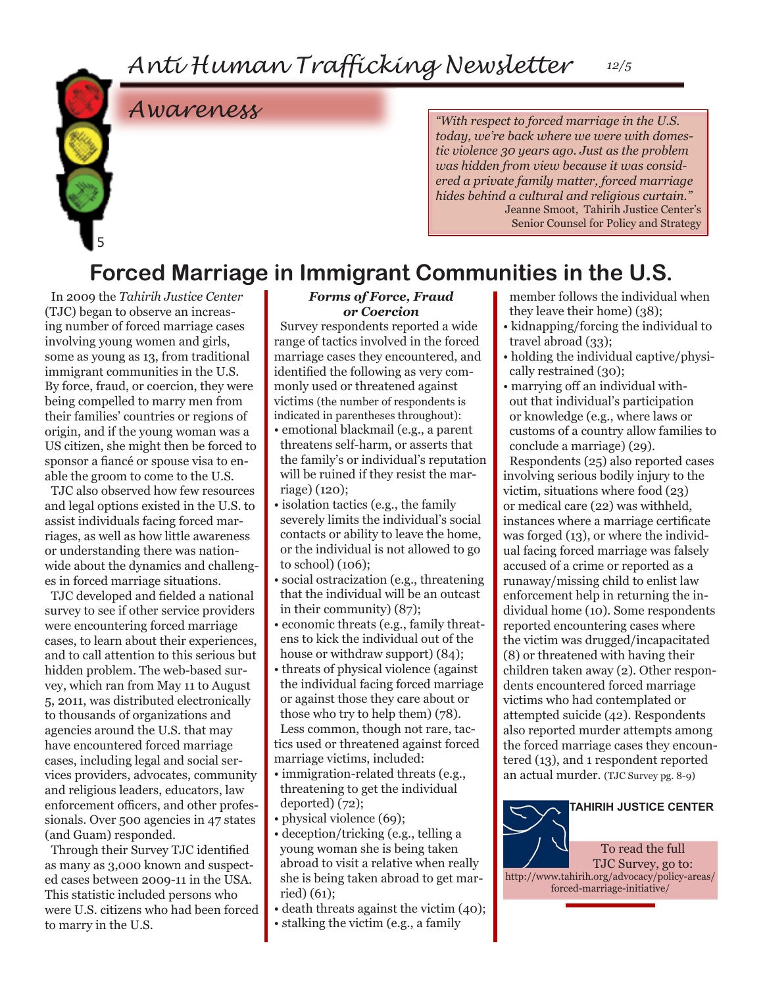# *Awareness*

*"With respect to forced marriage in the U.S. today, we're back where we were with domestic violence 30 years ago. Just as the problem was hidden from view because it was considered a private family matter, forced marriage hides behind a cultural and religious curtain."*  Jeanne Smoot, Tahirih Justice Center's Senior Counsel for Policy and Strategy

# **Forced Marriage in Immigrant Communities in the U.S.**

In 2009 the *Tahirih Justice Center*  (TJC) began to observe an increasing number of forced marriage cases involving young women and girls, some as young as 13, from traditional immigrant communities in the U.S. By force, fraud, or coercion, they were being compelled to marry men from their families' countries or regions of origin, and if the young woman was a US citizen, she might then be forced to sponsor a fiancé or spouse visa to enable the groom to come to the U.S.

5

TJC also observed how few resources and legal options existed in the U.S. to assist individuals facing forced marriages, as well as how little awareness or understanding there was nationwide about the dynamics and challenges in forced marriage situations.

TJC developed and fielded a national survey to see if other service providers were encountering forced marriage cases, to learn about their experiences, and to call attention to this serious but hidden problem. The web-based survey, which ran from May 11 to August 5, 2011, was distributed electronically to thousands of organizations and agencies around the U.S. that may have encountered forced marriage cases, including legal and social services providers, advocates, community and religious leaders, educators, law enforcement officers, and other professionals. Over 500 agencies in 47 states (and Guam) responded.

Through their Survey TJC identified as many as 3,000 known and suspected cases between 2009-11 in the USA. This statistic included persons who were U.S. citizens who had been forced to marry in the U.S.

### *Forms of Force, Fraud or Coercion*

Survey respondents reported a wide range of tactics involved in the forced marriage cases they encountered, and identified the following as very commonly used or threatened against victims (the number of respondents is indicated in parentheses throughout):

- emotional blackmail (e.g., a parent threatens self-harm, or asserts that the family's or individual's reputation will be ruined if they resist the marriage) (120);
- isolation tactics (e.g., the family severely limits the individual's social contacts or ability to leave the home, or the individual is not allowed to go to school) (106);
- social ostracization (e.g., threatening that the individual will be an outcast in their community) (87);
- economic threats (e.g., family threatens to kick the individual out of the house or withdraw support)  $(84)$ ;
- threats of physical violence (against the individual facing forced marriage or against those they care about or those who try to help them) (78). Less common, though not rare, tactics used or threatened against forced marriage victims, included:
- immigration-related threats (e.g., threatening to get the individual deported) (72);
- physical violence (69);
- deception/tricking (e.g., telling a young woman she is being taken abroad to visit a relative when really she is being taken abroad to get married) (61);
- death threats against the victim (40);
- stalking the victim (e.g., a family
- member follows the individual when they leave their home) (38);
- kidnapping/forcing the individual to travel abroad (33);
- holding the individual captive/physically restrained (30);
- marrying off an individual without that individual's participation or knowledge (e.g., where laws or customs of a country allow families to conclude a marriage) (29).

Respondents (25) also reported cases involving serious bodily injury to the victim, situations where food (23) or medical care (22) was withheld, instances where a marriage certificate was forged (13), or where the individual facing forced marriage was falsely accused of a crime or reported as a runaway/missing child to enlist law enforcement help in returning the individual home (10). Some respondents reported encountering cases where the victim was drugged/incapacitated (8) or threatened with having their children taken away (2). Other respondents encountered forced marriage victims who had contemplated or attempted suicide (42). Respondents also reported murder attempts among the forced marriage cases they encountered (13), and 1 respondent reported an actual murder. (TJC Survey pg. 8-9)

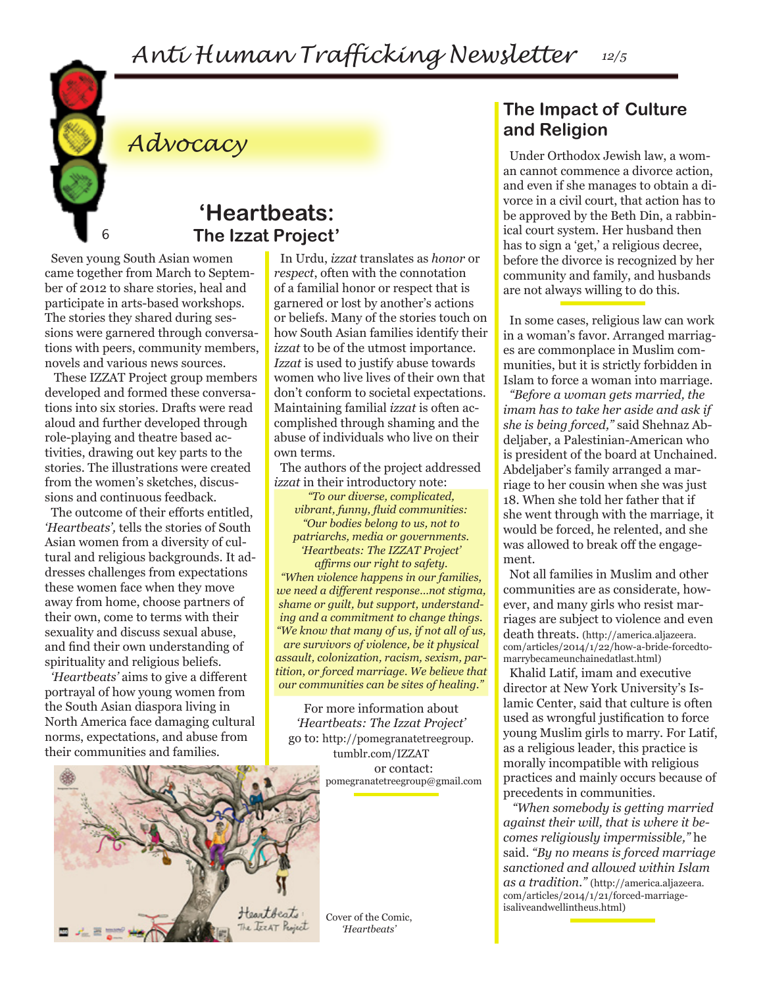

# *Advocacy*

### **'Heartbeats: The Izzat Project'**

Seven young South Asian women came together from March to September of 2012 to share stories, heal and participate in arts-based workshops. The stories they shared during sessions were garnered through conversations with peers, community members, novels and various news sources.

 These IZZAT Project group members developed and formed these conversations into six stories. Drafts were read aloud and further developed through role-playing and theatre based activities, drawing out key parts to the stories. The illustrations were created from the women's sketches, discussions and continuous feedback.

The outcome of their efforts entitled, *'Heartbeats',* tells the stories of South Asian women from a diversity of cultural and religious backgrounds. It addresses challenges from expectations these women face when they move away from home, choose partners of their own, come to terms with their sexuality and discuss sexual abuse, and find their own understanding of spirituality and religious beliefs.

*'Heartbeats'* aims to give a different portrayal of how young women from the South Asian diaspora living in North America face damaging cultural norms, expectations, and abuse from their communities and families.

In Urdu, *izzat* translates as *honor* or *respect*, often with the connotation of a familial honor or respect that is garnered or lost by another's actions or beliefs. Many of the stories touch on how South Asian families identify their *izzat* to be of the utmost importance. *Izzat* is used to justify abuse towards women who live lives of their own that don't conform to societal expectations. Maintaining familial *izzat* is often accomplished through shaming and the abuse of individuals who live on their own terms.

The authors of the project addressed *izzat* in their introductory note:

*"To our diverse, complicated, vibrant, funny, fluid communities: "Our bodies belong to us, not to patriarchs, media or governments. 'Heartbeats: The IZZAT Project' affirms our right to safety. "When violence happens in our families, we need a different response…not stigma, shame or guilt, but support, understanding and a commitment to change things. "We know that many of us, if not all of us, are survivors of violence, be it physical assault, colonization, racism, sexism, partition, or forced marriage. We believe that our communities can be sites of healing."*

For more information about *'Heartbeats: The Izzat Project'* go to: http://pomegranatetreegroup. tumblr.com/IZZAT or contact: pomegranatetreegroup@gmail.com



Cover of the Comic, *'Heartbeats'*

### **The Impact of Culture and Religion**

Under Orthodox Jewish law, a woman cannot commence a divorce action, and even if she manages to obtain a divorce in a civil court, that action has to be approved by the Beth Din, a rabbinical court system. Her husband then has to sign a 'get,' a religious decree, before the divorce is recognized by her community and family, and husbands are not always willing to do this.

In some cases, religious law can work in a woman's favor. Arranged marriages are commonplace in Muslim communities, but it is strictly forbidden in Islam to force a woman into marriage.

*"Before a woman gets married, the imam has to take her aside and ask if she is being forced,"* said Shehnaz Abdeljaber, a Palestinian-American who is president of the board at Unchained. Abdeljaber's family arranged a marriage to her cousin when she was just 18. When she told her father that if she went through with the marriage, it would be forced, he relented, and she was allowed to break off the engagement.

Not all families in Muslim and other communities are as considerate, however, and many girls who resist marriages are subject to violence and even death threats. (http://america.aljazeera. com/articles/2014/1/22/how-a-bride-forcedtomarrybecameunchainedatlast.html)

Khalid Latif, imam and executive director at New York University's Islamic Center, said that culture is often used as wrongful justification to force young Muslim girls to marry. For Latif, as a religious leader, this practice is morally incompatible with religious practices and mainly occurs because of precedents in communities.

 *"When somebody is getting married against their will, that is where it becomes religiously impermissible,"* he said. *"By no means is forced marriage sanctioned and allowed within Islam as a tradition."* (http://america.aljazeera. com/articles/2014/1/21/forced-marriageisaliveandwellintheus.html)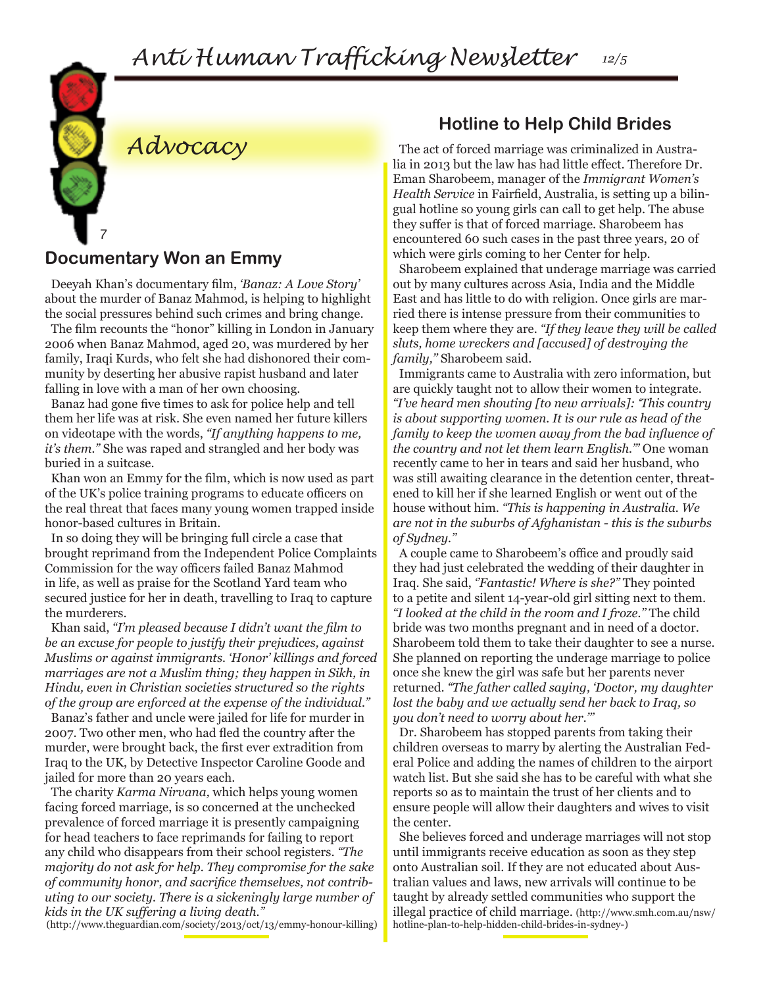

# **Documentary Won an Emmy**

*Advocacy*

Deeyah Khan's documentary film, *'Banaz: A Love Story'*  about the murder of Banaz Mahmod, is helping to highlight the social pressures behind such crimes and bring change.

The film recounts the "honor" killing in London in January 2006 when Banaz Mahmod, aged 20, was murdered by her family, Iraqi Kurds, who felt she had dishonored their community by deserting her abusive rapist husband and later falling in love with a man of her own choosing.

Banaz had gone five times to ask for police help and tell them her life was at risk. She even named her future killers on videotape with the words, *"If anything happens to me, it's them."* She was raped and strangled and her body was buried in a suitcase.

Khan won an Emmy for the film, which is now used as part of the UK's police training programs to educate officers on the real threat that faces many young women trapped inside honor-based cultures in Britain.

In so doing they will be bringing full circle a case that brought reprimand from the Independent Police Complaints Commission for the way officers failed Banaz Mahmod in life, as well as praise for the Scotland Yard team who secured justice for her in death, travelling to Iraq to capture the murderers.

Khan said, *"I'm pleased because I didn't want the film to be an excuse for people to justify their prejudices, against Muslims or against immigrants. 'Honor' killings and forced marriages are not a Muslim thing; they happen in Sikh, in Hindu, even in Christian societies structured so the rights of the group are enforced at the expense of the individual."* 

Banaz's father and uncle were jailed for life for murder in 2007. Two other men, who had fled the country after the murder, were brought back, the first ever extradition from Iraq to the UK, by Detective Inspector Caroline Goode and jailed for more than 20 years each.

The charity *Karma Nirvana,* which helps young women facing forced marriage, is so concerned at the unchecked prevalence of forced marriage it is presently campaigning for head teachers to face reprimands for failing to report any child who disappears from their school registers. *"The majority do not ask for help. They compromise for the sake of community honor, and sacrifice themselves, not contributing to our society. There is a sickeningly large number of kids in the UK suffering a living death."*

(http://www.theguardian.com/society/2013/oct/13/emmy-honour-killing)

### **Hotline to Help Child Brides**

The act of forced marriage was criminalized in Australia in 2013 but the law has had little effect. Therefore Dr. Eman Sharobeem, manager of the *Immigrant Women's Health Service* in Fairfield, Australia, is setting up a bilingual hotline so young girls can call to get help. The abuse they suffer is that of forced marriage. Sharobeem has encountered 60 such cases in the past three years, 20 of which were girls coming to her Center for help.

Sharobeem explained that underage marriage was carried out by many cultures across Asia, India and the Middle East and has little to do with religion. Once girls are married there is intense pressure from their communities to keep them where they are. *"If they leave they will be called sluts, home wreckers and [accused] of destroying the family,''* Sharobeem said.

Immigrants came to Australia with zero information, but are quickly taught not to allow their women to integrate. *"I've heard men shouting [to new arrivals]: 'This country is about supporting women. It is our rule as head of the family to keep the women away from the bad influence of the country and not let them learn English.'"* One woman recently came to her in tears and said her husband, who was still awaiting clearance in the detention center, threatened to kill her if she learned English or went out of the house without him. *"This is happening in Australia. We are not in the suburbs of Afghanistan - this is the suburbs of Sydney.''*

A couple came to Sharobeem's office and proudly said they had just celebrated the wedding of their daughter in Iraq. She said, *''Fantastic! Where is she?''* They pointed to a petite and silent 14-year-old girl sitting next to them. *"I looked at the child in the room and I froze.''* The child bride was two months pregnant and in need of a doctor. Sharobeem told them to take their daughter to see a nurse. She planned on reporting the underage marriage to police once she knew the girl was safe but her parents never returned. *"The father called saying, 'Doctor, my daughter lost the baby and we actually send her back to Iraq, so you don't need to worry about her.'''*

Dr. Sharobeem has stopped parents from taking their children overseas to marry by alerting the Australian Federal Police and adding the names of children to the airport watch list. But she said she has to be careful with what she reports so as to maintain the trust of her clients and to ensure people will allow their daughters and wives to visit the center.

She believes forced and underage marriages will not stop until immigrants receive education as soon as they step onto Australian soil. If they are not educated about Australian values and laws, new arrivals will continue to be taught by already settled communities who support the illegal practice of child marriage. (http://www.smh.com.au/nsw/ hotline-plan-to-help-hidden-child-brides-in-sydney-)